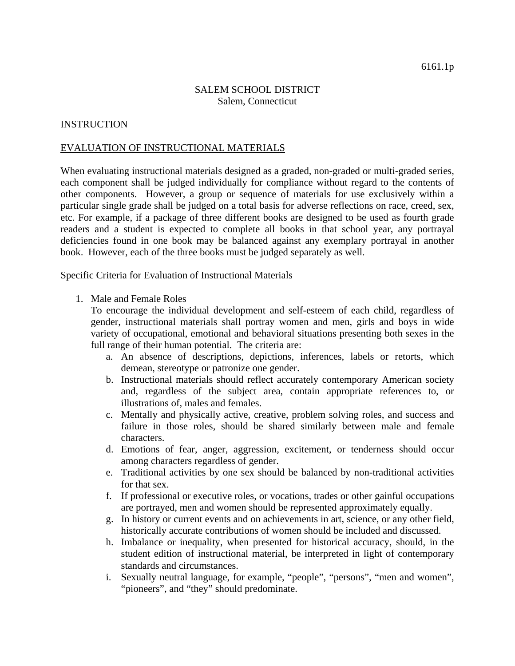## SALEM SCHOOL DISTRICT Salem, Connecticut

## **INSTRUCTION**

## EVALUATION OF INSTRUCTIONAL MATERIALS

When evaluating instructional materials designed as a graded, non-graded or multi-graded series, each component shall be judged individually for compliance without regard to the contents of other components. However, a group or sequence of materials for use exclusively within a particular single grade shall be judged on a total basis for adverse reflections on race, creed, sex, etc. For example, if a package of three different books are designed to be used as fourth grade readers and a student is expected to complete all books in that school year, any portrayal deficiencies found in one book may be balanced against any exemplary portrayal in another book. However, each of the three books must be judged separately as well.

Specific Criteria for Evaluation of Instructional Materials

1. Male and Female Roles

To encourage the individual development and self-esteem of each child, regardless of gender, instructional materials shall portray women and men, girls and boys in wide variety of occupational, emotional and behavioral situations presenting both sexes in the full range of their human potential. The criteria are:

- a. An absence of descriptions, depictions, inferences, labels or retorts, which demean, stereotype or patronize one gender.
- b. Instructional materials should reflect accurately contemporary American society and, regardless of the subject area, contain appropriate references to, or illustrations of, males and females.
- c. Mentally and physically active, creative, problem solving roles, and success and failure in those roles, should be shared similarly between male and female characters.
- d. Emotions of fear, anger, aggression, excitement, or tenderness should occur among characters regardless of gender.
- e. Traditional activities by one sex should be balanced by non-traditional activities for that sex.
- f. If professional or executive roles, or vocations, trades or other gainful occupations are portrayed, men and women should be represented approximately equally.
- g. In history or current events and on achievements in art, science, or any other field, historically accurate contributions of women should be included and discussed.
- h. Imbalance or inequality, when presented for historical accuracy, should, in the student edition of instructional material, be interpreted in light of contemporary standards and circumstances.
- i. Sexually neutral language, for example, "people", "persons", "men and women", "pioneers", and "they" should predominate.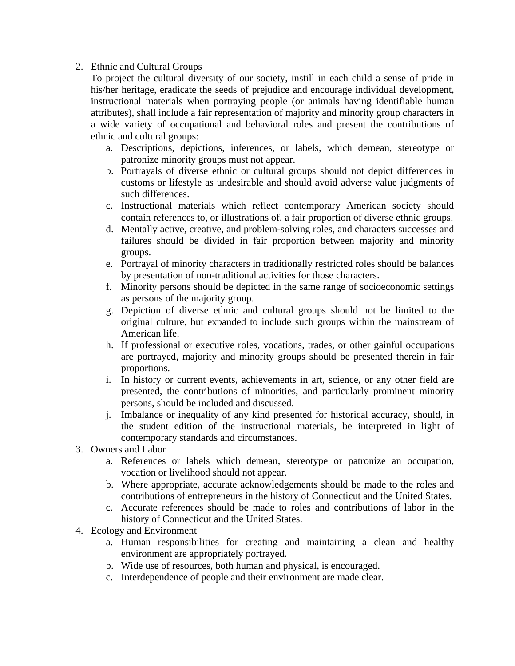## 2. Ethnic and Cultural Groups

To project the cultural diversity of our society, instill in each child a sense of pride in his/her heritage, eradicate the seeds of prejudice and encourage individual development, instructional materials when portraying people (or animals having identifiable human attributes), shall include a fair representation of majority and minority group characters in a wide variety of occupational and behavioral roles and present the contributions of ethnic and cultural groups:

- a. Descriptions, depictions, inferences, or labels, which demean, stereotype or patronize minority groups must not appear.
- b. Portrayals of diverse ethnic or cultural groups should not depict differences in customs or lifestyle as undesirable and should avoid adverse value judgments of such differences.
- c. Instructional materials which reflect contemporary American society should contain references to, or illustrations of, a fair proportion of diverse ethnic groups.
- d. Mentally active, creative, and problem-solving roles, and characters successes and failures should be divided in fair proportion between majority and minority groups.
- e. Portrayal of minority characters in traditionally restricted roles should be balances by presentation of non-traditional activities for those characters.
- f. Minority persons should be depicted in the same range of socioeconomic settings as persons of the majority group.
- g. Depiction of diverse ethnic and cultural groups should not be limited to the original culture, but expanded to include such groups within the mainstream of American life.
- h. If professional or executive roles, vocations, trades, or other gainful occupations are portrayed, majority and minority groups should be presented therein in fair proportions.
- i. In history or current events, achievements in art, science, or any other field are presented, the contributions of minorities, and particularly prominent minority persons, should be included and discussed.
- j. Imbalance or inequality of any kind presented for historical accuracy, should, in the student edition of the instructional materials, be interpreted in light of contemporary standards and circumstances.
- 3. Owners and Labor
	- a. References or labels which demean, stereotype or patronize an occupation, vocation or livelihood should not appear.
	- b. Where appropriate, accurate acknowledgements should be made to the roles and contributions of entrepreneurs in the history of Connecticut and the United States.
	- c. Accurate references should be made to roles and contributions of labor in the history of Connecticut and the United States.
- 4. Ecology and Environment
	- a. Human responsibilities for creating and maintaining a clean and healthy environment are appropriately portrayed.
	- b. Wide use of resources, both human and physical, is encouraged.
	- c. Interdependence of people and their environment are made clear.